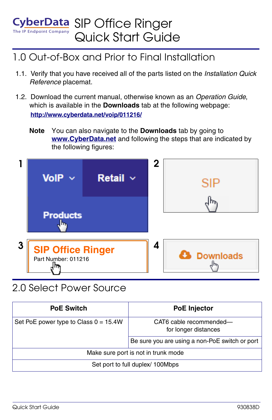#### The IP Endpoint Company CyberData SIP Office Ringer Quick Start Guide

## 1.0 Out-of-Box and Prior to Final Installation

- 1.1. Verify that you have received all of the parts listed on the *Installation Quick Reference* placemat.
- 1.2. Download the current manual, otherwise known as an *Operation Guide*, which is available in the **Downloads** tab at the following webpage: **<http://www.cyberdata.net/voip/011216/>**
	- **Note** You can also navigate to the **Downloads** tab by going to **<www.CyberData.net>** and following the steps that are indicated by the following figures:



# 2.0 Select Power Source

| <b>PoE Switch</b>                       | <b>PoE Injector</b>                             |
|-----------------------------------------|-------------------------------------------------|
| Set PoE power type to Class $0 = 15.4W$ | CAT6 cable recommended-<br>for longer distances |
|                                         | Be sure you are using a non-PoE switch or port  |
| Make sure port is not in trunk mode     |                                                 |
| Set port to full duplex/ 100Mbps        |                                                 |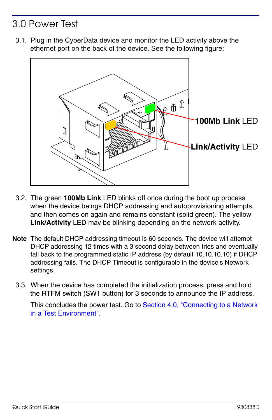# 3.0 Power Test

3.1. Plug in the CyberData device and monitor the LED activity above the ethernet port on the back of the device. See the following figure:



- 3.2. The green **100Mb Link** LED blinks off once during the boot up process when the device beings DHCP addressing and autoprovisioning attempts, and then comes on again and remains constant (solid green). The yellow **Link/Activity** LED may be blinking depending on the network activity.
- **Note** The default DHCP addressing timeout is 60 seconds. The device will attempt DHCP addressing 12 times with a 3 second delay between tries and eventually fall back to the programmed static IP address (by default 10.10.10.10) if DHCP addressing fails. The DHCP Timeout is configurable in the device's Network settings.
	- 3.3. When the device has completed the initialization process, press and hold the RTFM switch (SW1 button) for 3 seconds to announce the IP address.

This concludes the power test. Go to Section 4.0, "Connecting to a Network [in a Test Environment".](#page-2-0)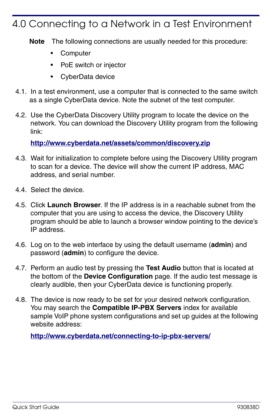## <span id="page-2-0"></span>4.0 Connecting to a Network in a Test Environment

**Note** The following connections are usually needed for this procedure:

- **Computer**
- PoE switch or injector
- CyberData device
- 4.1. In a test environment, use a computer that is connected to the same switch as a single CyberData device. Note the subnet of the test computer.
- 4.2. Use the CyberData Discovery Utility program to locate the device on the network. You can download the Discovery Utility program from the following link:

**<http://www.cyberdata.net/assets/common/discovery.zip>**

- 4.3. Wait for initialization to complete before using the Discovery Utility program to scan for a device. The device will show the current IP address, MAC address, and serial number.
- 4.4. Select the device.
- 4.5. Click **Launch Browser**. If the IP address is in a reachable subnet from the computer that you are using to access the device, the Discovery Utility program should be able to launch a browser window pointing to the device's IP address.
- 4.6. Log on to the web interface by using the default username (**admin**) and password (**admin**) to configure the device.
- 4.7. Perform an audio test by pressing the **Test Audio** button that is located at the bottom of the **Device Configuration** page. If the audio test message is clearly audible, then your CyberData device is functioning properly.
- 4.8. The device is now ready to be set for your desired network configuration. You may search the **Compatible IP-PBX Servers** index for available sample VoIP phone system configurations and set up guides at the following website address:

**<http://www.cyberdata.net/connecting-to-ip-pbx-servers/>**